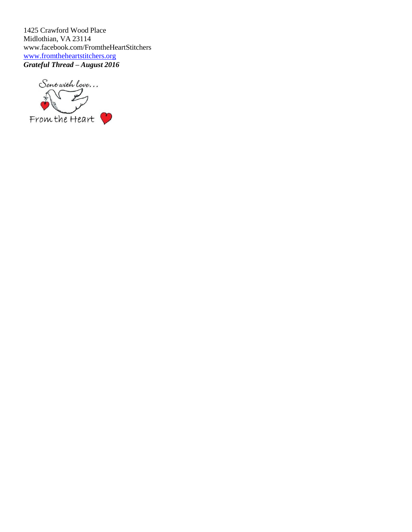1425 Crawford Wood Place Midlothian, VA 23114 [www.facebook.com/FromtheHeartStitchers](http://www.facebook.com/FromtheHeartStitchers) [www.fromtheheartstitchers.org](http://www.fromtheheartstitchers.org/) *Grateful Thread – August 2016*

Sent with love...  $\sqrt{\frac{1}{2}}$ From the Heart  $\cdot$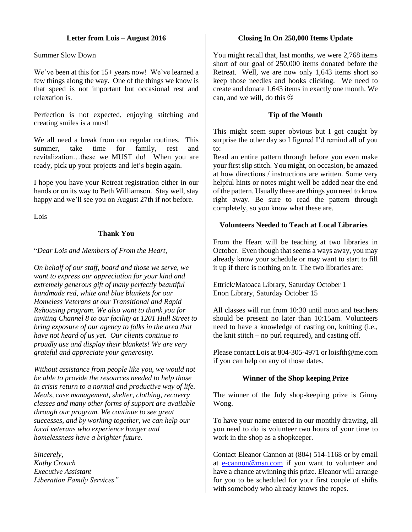# **Letter from Lois – August 2016**

Summer Slow Down

We've been at this for 15+ years now! We've learned a few things along the way. One of the things we know is that speed is not important but occasional rest and relaxation is.

Perfection is not expected, enjoying stitching and creating smiles is a must!

We all need a break from our regular routines. This summer, take time for family, rest and revitalization…these we MUST do! When you are ready, pick up your projects and let's begin again.

I hope you have your Retreat registration either in our hands or on its way to Beth Williamson. Stay well, stay happy and we'll see you on August 27th if not before.

Lois

# **Thank You**

### "*Dear Lois and Members of From the Heart,*

*On behalf of our staff, board and those we serve, we want to express our appreciation for your kind and extremely generous gift of many perfectly beautiful handmade red, white and blue blankets for our Homeless Veterans at our Transitional and Rapid Rehousing program. We also want to thank you for inviting Channel 8 to our facility at 1201 Hull Street to bring exposure of our agency to folks in the area that have not heard of us yet. Our clients continue to proudly use and display their blankets! We are very grateful and appreciate your generosity.*

*Without assistance from people like you, we would not be able to provide the resources needed to help those in crisis return to a normal and productive way of life. Meals, case management, shelter, clothing, recovery classes and many other forms of support are available through our program. We continue to see great successes, and by working together, we can help our local veterans who experience hunger and homelessness have a brighter future.*

*Sincerely, Kathy Crouch Executive Assistant Liberation Family Services"*

#### **Closing In On 250,000 Items Update**

You might recall that, last months, we were 2,768 items short of our goal of 250,000 items donated before the Retreat. Well, we are now only 1,643 items short so keep those needles and hooks clicking. We need to create and donate 1,643 items in exactly one month. We can, and we will, do this  $\odot$ 

#### **Tip of the Month**

This might seem super obvious but I got caught by surprise the other day so I figured I'd remind all of you to:

Read an entire pattern through before you even make your first slip stitch. You might, on occasion, be amazed at how directions / instructions are written. Some very helpful hints or notes might well be added near the end of the pattern. Usually these are things you need to know right away. Be sure to read the pattern through completely, so you know what these are.

### **Volunteers Needed to Teach at Local Libraries**

From the Heart will be teaching at two libraries in October. Even though that seems a ways away, you may already know your schedule or may want to start to fill it up if there is nothing on it. The two libraries are:

Ettrick/Matoaca Library, Saturday October 1 Enon Library, Saturday October 15

All classes will run from 10:30 until noon and teachers should be present no later than 10:15am. Volunteers need to have a knowledge of casting on, knitting (i.e., the knit stitch – no purl required), and casting off.

Please contact Lois at 804-305-4971 or loisfth@me.com if you can help on any of those dates.

#### **Winner of the Shop keeping Prize**

The winner of the July shop-keeping prize is Ginny Wong.

To have your name entered in our monthly drawing, all you need to do is volunteer two hours of your time to work in the shop as a shopkeeper.

Contact Eleanor Cannon at (804) 514-1168 or by email at [e-cannon@msn.com](mailto:e-cannon@msn.com) if you want to volunteer and have a chance atwinning this prize. Eleanor will arrange for you to be scheduled for your first couple of shifts with somebody who already knows the ropes.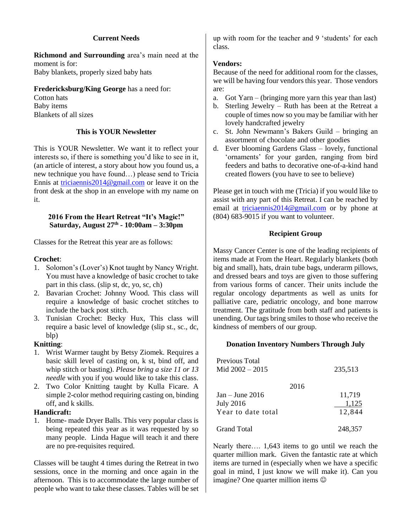# **Current Needs**

**Richmond and Surrounding** area's main need at the moment is for: Baby blankets, properly sized baby hats

# **Fredericksburg/King George** has a need for:

Cotton hats Baby items Blankets of all sizes

# **This is YOUR Newsletter**

This is YOUR Newsletter. We want it to reflect your interests so, if there is something you'd like to see in it, (an article of interest, a story about how you found us, a new technique you have found…) please send to Tricia Ennis at [triciaennis2014@gmail.com](mailto:ennis1000@verizon.net) or leave it on the front desk at the shop in an envelope with my name on it.

### **2016 From the Heart Retreat "It's Magic!" Saturday, August 27th - 10:00am – 3:30pm**

Classes for the Retreat this year are as follows:

# **Crochet**:

- 1. Solomon's (Lover's) Knot taught by Nancy Wright. You must have a knowledge of basic crochet to take part in this class. (slip st, dc, yo, sc, ch)
- 2. Bavarian Crochet: Johnny Wood. This class will require a knowledge of basic crochet stitches to include the back post stitch.
- 3. Tunisian Crochet: Becky Hux, This class will require a basic level of knowledge (slip st., sc., dc, blp)

### **Knitting**:

- 1. Wrist Warmer taught by Betsy Ziomek. Requires a basic skill level of casting on, k st, bind off, and whip stitch or basting). *Please bring a size 11 or 13 needle* with you if you would like to take this class.
- 2. Two Color Knitting taught by Kulla Ficare. A simple 2-color method requiring casting on, binding off, and k skills.

# **Handicraft:**

1. Home- made Dryer Balls. This very popular class is being repeated this year as it was requested by so many people. Linda Hague will teach it and there are no pre-requisites required.

Classes will be taught 4 times during the Retreat in two sessions, once in the morning and once again in the afternoon. This is to accommodate the large number of people who want to take these classes. Tables will be set up with room for the teacher and 9 'students' for each class.

# **Vendors:**

Because of the need for additional room for the classes, we will be having four vendors this year. Those vendors are:

- a. Got Yarn (bringing more yarn this year than last)
- b. Sterling Jewelry Ruth has been at the Retreat a couple of times now so you may be familiar with her lovely handcrafted jewelry
- c. St. John Newmann's Bakers Guild bringing an assortment of chocolate and other goodies
- d. Ever blooming Gardens Glass lovely, functional 'ornaments' for your garden, ranging from bird feeders and baths to decorative one-of-a-kind hand created flowers (you have to see to believe)

Please get in touch with me (Tricia) if you would like to assist with any part of this Retreat. I can be reached by email at [triciaennis2014@gmail.com](mailto:triciaennis2014@gmail.com) or by phone at (804) 683-9015 if you want to volunteer.

# **Recipient Group**

Massy Cancer Center is one of the leading recipients of items made at From the Heart. Regularly blankets (both big and small), hats, drain tube bags, underarm pillows, and dressed bears and toys are given to those suffering from various forms of cancer. Their units include the regular oncology departments as well as units for palliative care, pediatric oncology, and bone marrow treatment. The gratitude from both staff and patients is unending. Our tags bring smiles to those who receive the kindness of members of our group.

### **Donation Inventory Numbers Through July**

| Previous Total<br>Mid $2002 - 2015$ | 235,513 |
|-------------------------------------|---------|
| 2016                                |         |
| $Jan - June 2016$                   | 11,719  |
| <b>July 2016</b>                    | 1,125   |
| Year to date total                  | 12,844  |
| <b>Grand Total</b>                  | 248,357 |

Nearly there…. 1,643 items to go until we reach the quarter million mark. Given the fantastic rate at which items are turned in (especially when we have a specific goal in mind, I just know we will make it). Can you imagine? One quarter million items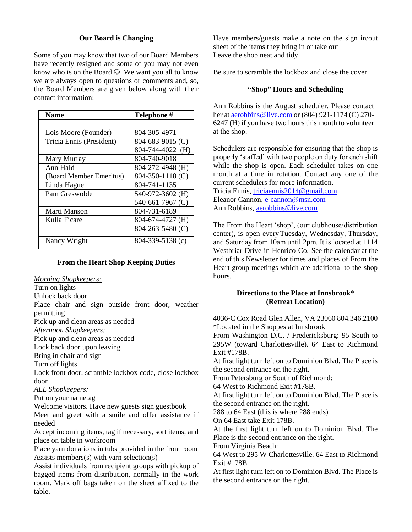# **Our Board is Changing**

Some of you may know that two of our Board Members have recently resigned and some of you may not even know who is on the Board  $\odot$  We want you all to know we are always open to questions or comments and, so, the Board Members are given below along with their contact information:

| <b>Name</b>              | Telephone #      |  |  |
|--------------------------|------------------|--|--|
|                          |                  |  |  |
| Lois Moore (Founder)     | 804-305-4971     |  |  |
| Tricia Ennis (President) | 804-683-9015 (C) |  |  |
|                          | 804-744-4022 (H) |  |  |
| Mary Murray              | 804-740-9018     |  |  |
| Ann Hald                 | 804-272-4948 (H) |  |  |
| (Board Member Emeritus)  | 804-350-1118 (C) |  |  |
| Linda Hague              | 804-741-1135     |  |  |
| Pam Greswolde            | 540-972-3602 (H) |  |  |
|                          | 540-661-7967 (C) |  |  |
| Marti Manson             | 804-731-6189     |  |  |
| Kulla Ficare             | 804-674-4727 (H) |  |  |
|                          | 804-263-5480 (C) |  |  |
| Nancy Wright             | 804-339-5138 (c) |  |  |

#### **From the Heart Shop Keeping Duties**

*Morning Shopkeepers:*

Turn on lights

Unlock back door

Place chair and sign outside front door, weather permitting

Pick up and clean areas as needed

*Afternoon Shopkeepers:*

Pick up and clean areas as needed

Lock back door upon leaving

Bring in chair and sign

Turn off lights

Lock front door, scramble lockbox code, close lockbox door

*ALL Shopkeepers:*

Put on your nametag

Welcome visitors. Have new guests sign guestbook

Meet and greet with a smile and offer assistance if needed

Accept incoming items, tag if necessary, sort items, and place on table in workroom

Place yarn donations in tubs provided in the front room Assists members(s) with yarn selection(s)

Assist individuals from recipient groups with pickup of bagged items from distribution, normally in the work room. Mark off bags taken on the sheet affixed to the table.

Have members/guests make a note on the sign in/out sheet of the items they bring in or take out Leave the shop neat and tidy

Be sure to scramble the lockbox and close the cover

#### **"Shop" Hours and Scheduling**

Ann Robbins is the August scheduler. Please contact her a[t aerobbins@live.com](mailto:aerobbins@live.com) or (804) 921-1174 (C) 270- 6247 (H) if you have two hours this month to volunteer at the shop.

Schedulers are responsible for ensuring that the shop is properly 'staffed' with two people on duty for each shift while the shop is open. Each scheduler takes on one month at a time in rotation. Contact any one of the current schedulers for more information.

Tricia Ennis, [triciaennis2014@gmail.com](mailto:ennis1000@verizon.net) Eleanor Cannon, [e-cannon@msn.com](mailto:e-cannon@msn.com) Ann Robbins[, aerobbins@live.com](mailto:aerobbins@live.com)

The From the Heart 'shop', (our clubhouse/distribution center), is open everyTuesday, Wednesday, Thursday, and Saturday from 10am until 2pm. It is located at 1114 Westbriar Drive in Henrico Co. See the calendar at the end of this Newsletter for times and places of From the Heart group meetings which are additional to the shop hours.

### **Directions to the Place at Innsbrook\* (Retreat Location)**

4036-C Cox Road Glen Allen, VA 23060 804.346.2100 \*Located in the Shoppes at Innsbrook

From Washington D.C. / Fredericksburg: 95 South to 295W (toward Charlottesville). 64 East to Richmond Exit #178B.

At first light turn left on to Dominion Blvd. The Place is the second entrance on the right.

From Petersburg or South of Richmond:

64 West to Richmond Exit #178B.

At first light turn left on to Dominion Blvd. The Place is the second entrance on the right.

288 to 64 East (this is where 288 ends)

On 64 East take Exit 178B.

At the first light turn left on to Dominion Blvd. The Place is the second entrance on the right.

From Virginia Beach:

64 West to 295 W Charlottesville. 64 East to Richmond Exit #178B.

At first light turn left on to Dominion Blvd. The Place is the second entrance on the right.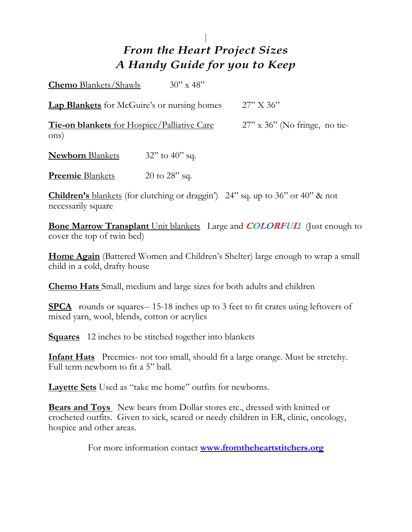# *From the Heart Project Sizes A Handy Guide for you to Keep*

**Chemo** Blankets/Shawls 30" x 48" **Lap Blankets** for McGuire's or nursing homes 27" X 36" **Tie-on blankets** for Hospice/Palliative Care 27" x 36" (No fringe, no tieons) **Newborn** Blankets 32" to 40" sq. **Preemie** Blankets 20 to 28" sq.

**Children's** blankets (for clutching or draggin') 24" sq. up to 36" or 40" & not necessarily square

**Bone Marrow Transplant** Unit blankets Large and **COLORFUL!** (Just enough to cover the top of twin bed)

**Home Again** (Battered Women and Children's Shelter) large enough to wrap a small child in a cold, drafty house

**Chemo Hats** Small, medium and large sizes for both adults and children

**SPCA** rounds or squares-- 15-18 inches up to 3 feet to fit crates using leftovers of mixed yarn, wool, blends, cotton or acrylics

**Squares** 12 inches to be stitched together into blankets

**Infant Hats** Preemies- not too small, should fit a large orange. Must be stretchy. Full term newborn to fit a 5" ball.

**Layette Sets** Used as "take me home" outfits for newborns.

**Bears and Toys** New bears from Dollar stores etc., dressed with knitted or crocheted outfits. Given to sick, scared or needy children in ER, clinic, oncology, hospice and other areas.

For more information contact **[www.fromtheheartstitchers.org](http://www.fromtheheartstitchers.org/)**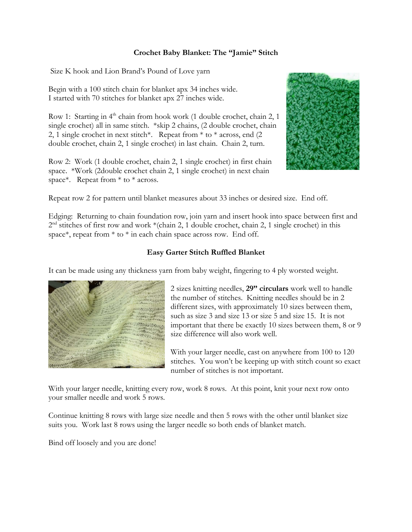# **Crochet Baby Blanket: The "Jamie" Stitch**

Size K hook and Lion Brand's Pound of Love yarn

Begin with a 100 stitch chain for blanket apx 34 inches wide. I started with 70 stitches for blanket apx 27 inches wide.

Row 1: Starting in  $4<sup>th</sup>$  chain from hook work (1 double crochet, chain 2, 1 single crochet) all in same stitch. \*skip 2 chains, (2 double crochet, chain 2, 1 single crochet in next stitch\*. Repeat from \* to \* across, end (2 double crochet, chain 2, 1 single crochet) in last chain. Chain 2, turn.

Row 2: Work (1 double crochet, chain 2, 1 single crochet) in first chain space. \*Work (2double crochet chain 2, 1 single crochet) in next chain space\*. Repeat from \* to \* across.



Repeat row 2 for pattern until blanket measures about 33 inches or desired size. End off.

Edging: Returning to chain foundation row, join yarn and insert hook into space between first and 2<sup>nd</sup> stitches of first row and work \*(chain 2, 1 double crochet, chain 2, 1 single crochet) in this space\*, repeat from \* to \* in each chain space across row. End off.

# **Easy Garter Stitch Ruffled Blanket**

It can be made using any thickness yarn from baby weight, fingering to 4 ply worsted weight.



2 sizes knitting needles, **29" circulars** work well to handle the number of stitches. Knitting needles should be in 2 different sizes, with approximately 10 sizes between them, such as size 3 and size 13 or size 5 and size 15. It is not important that there be exactly 10 sizes between them, 8 or 9 size difference will also work well.

With your larger needle, cast on anywhere from 100 to 120 stitches. You won't be keeping up with stitch count so exact number of stitches is not important.

With your larger needle, knitting every row, work 8 rows. At this point, knit your next row onto your smaller needle and work 5 rows.

Continue knitting 8 rows with large size needle and then 5 rows with the other until blanket size suits you. Work last 8 rows using the larger needle so both ends of blanket match.

Bind off loosely and you are done!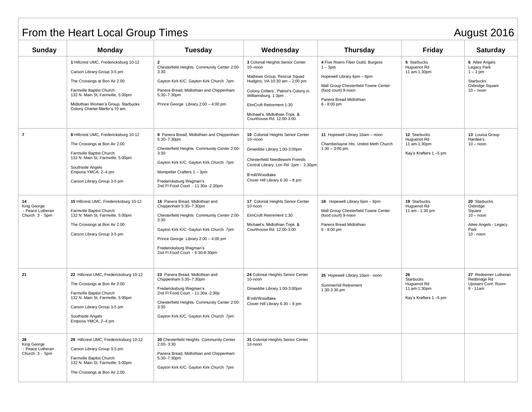# From the Heart Local Group Times August 2016

| Sunday                                                  | Monday                                                                                                                                                                                                                                         | <b>Tuesday</b>                                                                                                                                                                                                                                                    | Wednesday                                                                                                                                                                                                                                                              | <b>Thursday</b>                                                                                                                                                                          | <b>Friday</b>                                                                  | <b>Saturday</b>                                                                                   |
|---------------------------------------------------------|------------------------------------------------------------------------------------------------------------------------------------------------------------------------------------------------------------------------------------------------|-------------------------------------------------------------------------------------------------------------------------------------------------------------------------------------------------------------------------------------------------------------------|------------------------------------------------------------------------------------------------------------------------------------------------------------------------------------------------------------------------------------------------------------------------|------------------------------------------------------------------------------------------------------------------------------------------------------------------------------------------|--------------------------------------------------------------------------------|---------------------------------------------------------------------------------------------------|
|                                                         | 1 Hillcrest UMC, Fredericksburg 10-12<br>Carson Library Group 3-5 pm<br>The Crossings at Bon Air 2.00<br>Farmville Baptist Church<br>132 N Main St, Farmville, 5:00pm<br>Midlothian Women's Group, Starbucks<br>Colony Charter Martin's 10 am. | $\overline{2}$<br>Chesterfield Heights Community Center 2:00-<br>3:30<br>Gayton Kirk K/C. Gayton Kirk Church 7pm<br>Panera Bread, Midlothian and Chippenham<br>5:30-7:30pm<br>Prince George Library 2:00 - 4:00 pm                                                | 3 Colonial Heights Senior Center<br>10-noon<br>Mathews Group, Rescue Squad<br>Hudgins, VA 10:30 am - 2:00 pm<br>Colony Critters', Patriot's Colony in<br>Williamsburg. 1:3pm<br>ElmCroft Retirement 1:30<br>Michael's, Midlothian Tnpk. &<br>Courthouse Rd. 12:00-3:00 | 4 Five Rivers Fiber Guild, Burgess<br>$1 - 3pm$<br>Hopewell Library 6pm - 8pm<br>Mall Group Chesterfield Towne Center<br>(food court) 9-noon<br>Panera Bread Midlothian<br>$6 - 8:00$ pm | 5 Starbucks<br>Huguenot Rd<br>11 am-1:30pm                                     | 6 Atlee Angels<br>Legacy Park<br>$1-3$ pm<br><b>Starbucks</b><br>Oxbridge Square<br>$10 - noon$   |
| $\overline{7}$                                          | 8 Hillcrest UMC, Fredericksburg 10-12<br>The Crossings at Bon Air 2.00<br>Farmville Baptist Church<br>132 N Main St, Farmville, 5:00pm<br>Southside Angels<br>Emporia YMCA, 2-4 pm<br>Carson Library Group 3-5 pm                              | 9 Panera Bread, Midlothian and Chippenham<br>5:30-7:30pm<br>Chesterfield Heights Community Center 2:00-<br>3:30<br>Gayton Kirk K/C. Gayton Kirk Church 7pm<br>Montpelier Crafters 1 - 3pm<br>Fredericksburg Wegman's<br>2nd FI Food Court - 11:30a -2:30pm        | 10 Colonial Heights Senior Center<br>10-noon<br>Dinwiddie Library 1:00-3:00pm<br><b>Chesterfield Needlework Friends</b><br>Central Library, Lori Rd. 1pm - 2.30pm<br>B'mill/Woodlake<br>Clover Hill Library 6.30 - 8 pm                                                | 12 Starbucks<br>11 Hopewell Library 10am - noon<br>Huguenot Rd<br>Chamberlayne Hts. United Meth Church<br>11 am-1:30pm<br>$1:30 - 3:00$ pm<br>Kay's Krafters 1-5 pm                      |                                                                                | 13 Louisa Group<br>Hardee's<br>$10 -$ noon                                                        |
| 14<br>King George<br>- Peace Lutheran<br>Church 3 - 5pm | 15 Hillcrest UMC, Fredericksburg 10-12<br>Farmville Baptist Church<br>132 N Main St, Farmville, 5:00pm<br>The Crossings at Bon Air 2.00<br>Carson Library Group 3-5 pm                                                                         | 16 Panera Bread, Midlothian and<br>Chippenham 5:30-7:30pm<br>Chesterfield Heights Community Center 2:00-<br>3:30<br>Gayton Kirk K/C. Gayton Kirk Church 7pm<br>Prince George Library 2:00 - 4:00 pm<br>Fredericksburg Wegman's<br>2nd FI Food Court - 6:30-8:30pm | 17 Colonial Heights Senior Center<br>10-noon<br>ElmCroft Retirement 1:30<br>Michael's, Midlothian Tnpk. &<br>Courthouse Rd. 12:00-3:00                                                                                                                                 | 18 Hopewell Library 6pm - 8pm<br>Mall Group Chesterfield Towne Center<br>(food court) 9-noon<br>Panera Bread Midlothian<br>6 - 8:00 pm                                                   | 19 Starbucks<br>Huguenot Rd<br>11 am - 1:30 pm                                 | 20 Starbucks<br>Oxbridge<br>Square<br>$10 -$ noon<br>Atlee Angels - Legacy<br>Park<br>$10 -$ noon |
| 21                                                      | 22 Hillcrest UMC, Fredericksburg 10-12<br>The Crossings at Bon Air 2:00<br>Farmville Baptist Church<br>132 N Main St, Farmville, 5:00pm<br>Carson Library Group 3-5 pm<br>Southside Angels<br>Emporia YMCA, 2-4 pm                             | 23 Panera Bread, Midlothian and<br>Chippenham 5:30-7:30pm<br>Fredericksburg Wegman's<br>2nd FI Food Court - 11:30a - 2:30p<br>Chesterfield Heights Community Center 2:00-<br>3:30<br>Gayton Kirk K/C. Gayton Kirk Church 7pm                                      | 24 Colonial Heights Senior Center<br>10-noon<br>Dinwiddie Library 1:00-3:00pm<br>B'mill/Woodlake<br>Clover Hill Library 6.30 - 8 pm                                                                                                                                    | 25 Hopewell Library 10am - noon<br>Summerhill Retirement<br>1:30-3:30 pm                                                                                                                 | 26<br><b>Starbucks</b><br>Huguenot Rd<br>11 am-1:30pm<br>Kay's Krafters 1-5 pm | 27 Redeemer Lutheran<br>Redbridge Rd<br>Upstairs Conf. Room<br>$9 - 11$ am                        |
| 28<br>King George<br>- Peace Lutheran<br>Church 3 - 5pm | 29 Hillcrest UMC, Fredericksburg 10-12<br>Carson Library Group 3-5 pm<br>Farmville Baptist Church<br>132 N Main St, Farmville, 5:00pm<br>The Crossings at Bon Air 2.00                                                                         | 30 Chesterfield Heights Community Center<br>$2:00 - 3:30$<br>Panera Bread, Midlothian and Chippenham<br>5:30-7:30pm<br>Gayton Kirk K/C. Gayton Kirk Church 7pm                                                                                                    | 31 Colonial Heights Senior Center<br>10-noon                                                                                                                                                                                                                           |                                                                                                                                                                                          |                                                                                |                                                                                                   |